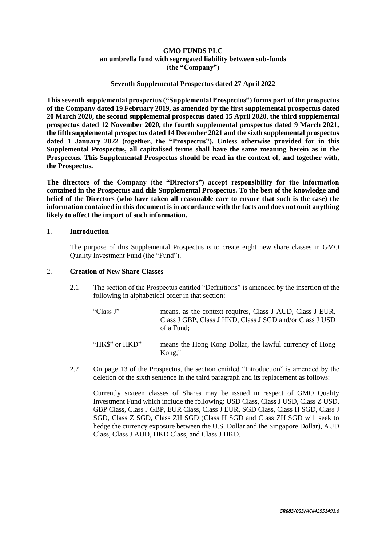## **GMO FUNDS PLC an umbrella fund with segregated liability between sub-funds (the "Company")**

## **Seventh Supplemental Prospectus dated 27 April 2022**

**This seventh supplemental prospectus ("Supplemental Prospectus") forms part of the prospectus of the Company dated 19 February 2019, as amended by the first supplemental prospectus dated 20 March 2020, the second supplemental prospectus dated 15 April 2020, the third supplemental prospectus dated 12 November 2020, the fourth supplemental prospectus dated 9 March 2021, the fifth supplemental prospectus dated 14 December 2021 and the sixth supplemental prospectus dated 1 January 2022 (together, the "Prospectus"). Unless otherwise provided for in this Supplemental Prospectus, all capitalised terms shall have the same meaning herein as in the Prospectus. This Supplemental Prospectus should be read in the context of, and together with, the Prospectus.** 

**The directors of the Company (the "Directors") accept responsibility for the information contained in the Prospectus and this Supplemental Prospectus. To the best of the knowledge and belief of the Directors (who have taken all reasonable care to ensure that such is the case) the information contained in this document is in accordance with the facts and does not omit anything likely to affect the import of such information.**

## 1. **Introduction**

The purpose of this Supplemental Prospectus is to create eight new share classes in GMO Quality Investment Fund (the "Fund").

## 2. **Creation of New Share Classes**

- 2.1 The section of the Prospectus entitled "Definitions" is amended by the insertion of the following in alphabetical order in that section:
	- "Class J" means, as the context requires, Class J AUD, Class J EUR, Class J GBP, Class J HKD, Class J SGD and/or Class J USD of a Fund;
	- "HK\$" or HKD" means the Hong Kong Dollar, the lawful currency of Hong Kong;"
- 2.2 On page 13 of the Prospectus, the section entitled "Introduction" is amended by the deletion of the sixth sentence in the third paragraph and its replacement as follows:

Currently sixteen classes of Shares may be issued in respect of GMO Quality Investment Fund which include the following: USD Class, Class J USD, Class Z USD, GBP Class, Class J GBP, EUR Class, Class J EUR, SGD Class, Class H SGD, Class J SGD, Class Z SGD, Class ZH SGD (Class H SGD and Class ZH SGD will seek to hedge the currency exposure between the U.S. Dollar and the Singapore Dollar), AUD Class, Class J AUD, HKD Class, and Class J HKD.